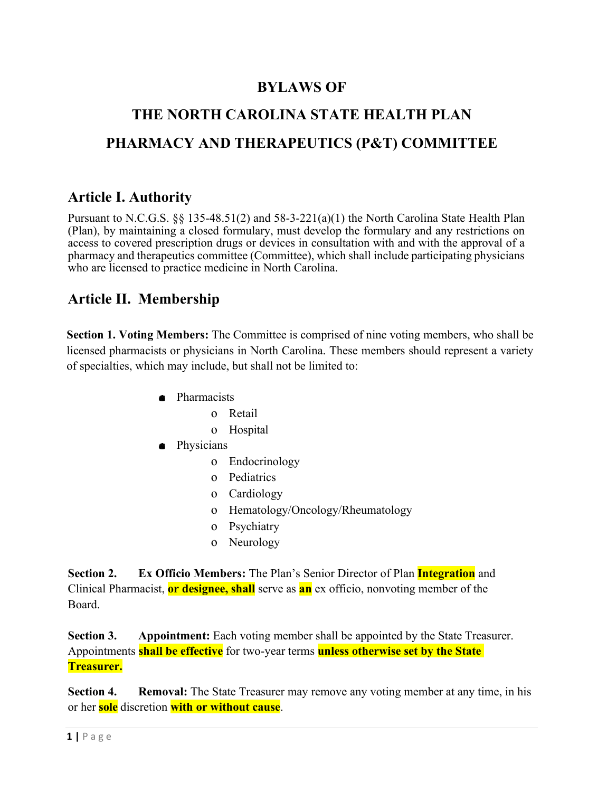# **BYLAWS OF**

# **THE NORTH CAROLINA STATE HEALTH PLAN PHARMACY AND THERAPEUTICS (P&T) COMMITTEE**

### **Article I. Authority**

Pursuant to N.C.G.S.  $\S$  135-48.51(2) and 58-3-221(a)(1) the North Carolina State Health Plan (Plan), by maintaining a closed formulary, must develop the formulary and any restrictions on access to covered prescription drugs or devices in consultation with and with the approval of a pharmacy and therapeutics committee (Committee), which shall include participating physicians who are licensed to practice medicine in North Carolina.

# **Article II. Membership**

**Section 1. Voting Members:** The Committee is comprised of nine voting members, who shall be licensed pharmacists or physicians in North Carolina. These members should represent a variety of specialties, which may include, but shall not be limited to:

- Pharmacists
	- o Retail
	- o Hospital
- Physicians
	- o Endocrinology
	- o Pediatrics
	- o Cardiology
	- o Hematology/Oncology/Rheumatology
	- o Psychiatry
	- o Neurology

**Section 2. Ex Officio Members:** The Plan's Senior Director of Plan **Integration** and Clinical Pharmacist, **or designee, shall** serve as **an** ex officio, nonvoting member of the Board.

**Section 3. Appointment:** Each voting member shall be appointed by the State Treasurer. Appointments **shall be effective** for two-year terms **unless otherwise set by the State Treasurer.**

**Section 4. Removal:** The State Treasurer may remove any voting member at any time, in his or her **sole** discretion **with or without cause**.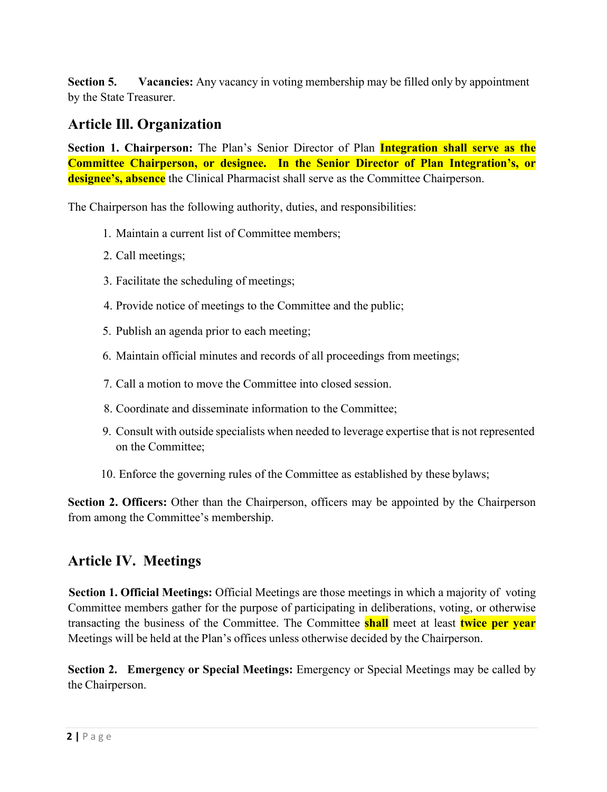**Section 5. Vacancies:** Any vacancy in voting membership may be filled only by appointment by the State Treasurer.

#### **Article Ill. Organization**

**Section 1. Chairperson:** The Plan's Senior Director of Plan **Integration shall serve as the Committee Chairperson, or designee. In the Senior Director of Plan Integration's, or designee's, absence** the Clinical Pharmacist shall serve as the Committee Chairperson.

The Chairperson has the following authority, duties, and responsibilities:

- 1. Maintain a current list of Committee members;
- 2. Call meetings;
- 3. Facilitate the scheduling of meetings;
- 4. Provide notice of meetings to the Committee and the public;
- 5. Publish an agenda prior to each meeting;
- 6. Maintain official minutes and records of all proceedings from meetings;
- 7. Call a motion to move the Committee into closed session.
- 8. Coordinate and disseminate information to the Committee;
- 9. Consult with outside specialists when needed to leverage expertise that is not represented on the Committee;
- 10. Enforce the governing rules of the Committee as established by these bylaws;

**Section 2. Officers:** Other than the Chairperson, officers may be appointed by the Chairperson from among the Committee's membership.

#### **Article IV. Meetings**

**Section 1. Official Meetings:** Official Meetings are those meetings in which a majority of voting Committee members gather for the purpose of participating in deliberations, voting, or otherwise transacting the business of the Committee. The Committee **shall** meet at least **twice per year** Meetings will be held at the Plan's offices unless otherwise decided by the Chairperson.

**Section 2. Emergency or Special Meetings:** Emergency or Special Meetings may be called by the Chairperson.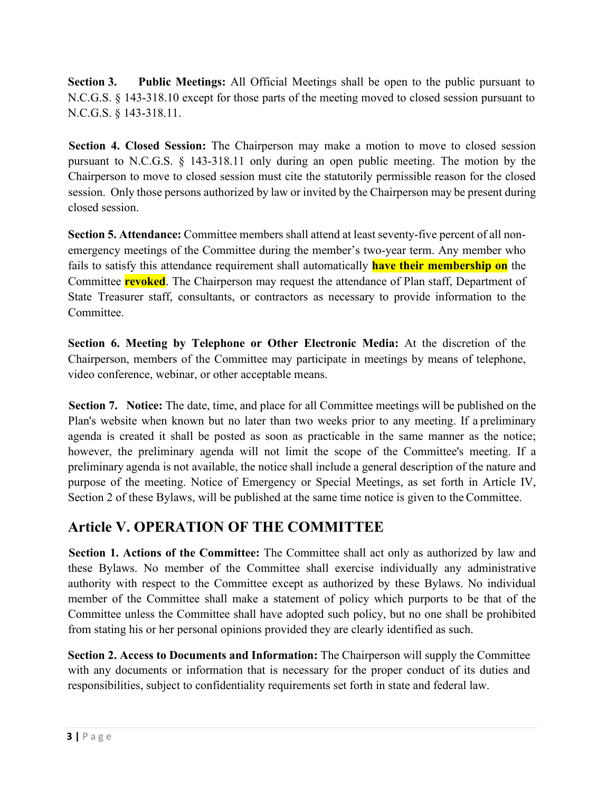**Section 3. Public Meetings:** All Official Meetings shall be open to the public pursuant to N.C.G.S. § 143-318.10 except for those parts of the meeting moved to closed session pursuant to N.C.G.S. § 143-318.11.

**Section 4. Closed Session:** The Chairperson may make a motion to move to closed session pursuant to N.C.G.S. § 143-318.11 only during an open public meeting. The motion by the Chairperson to move to closed session must cite the statutorily permissible reason for the closed session. Only those persons authorized by law or invited by the Chairperson may be present during closed session.

**Section 5. Attendance:** Committee members shall attend at least seventy-five percent of all nonemergency meetings of the Committee during the member's two-year term. Any member who fails to satisfy this attendance requirement shall automatically **have their membership on** the Committee **revoked**. The Chairperson may request the attendance of Plan staff, Department of State Treasurer staff, consultants, or contractors as necessary to provide information to the Committee.

**Section 6. Meeting by Telephone or Other Electronic Media:** At the discretion of the Chairperson, members of the Committee may participate in meetings by means of telephone, video conference, webinar, or other acceptable means.

**Section 7. Notice:** The date, time, and place for all Committee meetings will be published on the Plan's website when known but no later than two weeks prior to any meeting. If a preliminary agenda is created it shall be posted as soon as practicable in the same manner as the notice; however, the preliminary agenda will not limit the scope of the Committee's meeting. If a preliminary agenda is not available, the notice shall include a general description of the nature and purpose of the meeting. Notice of Emergency or Special Meetings, as set forth in Article IV, Section 2 of these Bylaws, will be published at the same time notice is given to the Committee.

# **Article V. OPERATION OF THE COMMITTEE**

**Section 1. Actions of the Committee:** The Committee shall act only as authorized by law and these Bylaws. No member of the Committee shall exercise individually any administrative authority with respect to the Committee except as authorized by these Bylaws. No individual member of the Committee shall make a statement of policy which purports to be that of the Committee unless the Committee shall have adopted such policy, but no one shall be prohibited from stating his or her personal opinions provided they are clearly identified as such.

**Section 2. Access to Documents and Information:** The Chairperson will supply the Committee with any documents or information that is necessary for the proper conduct of its duties and responsibilities, subject to confidentiality requirements set forth in state and federal law.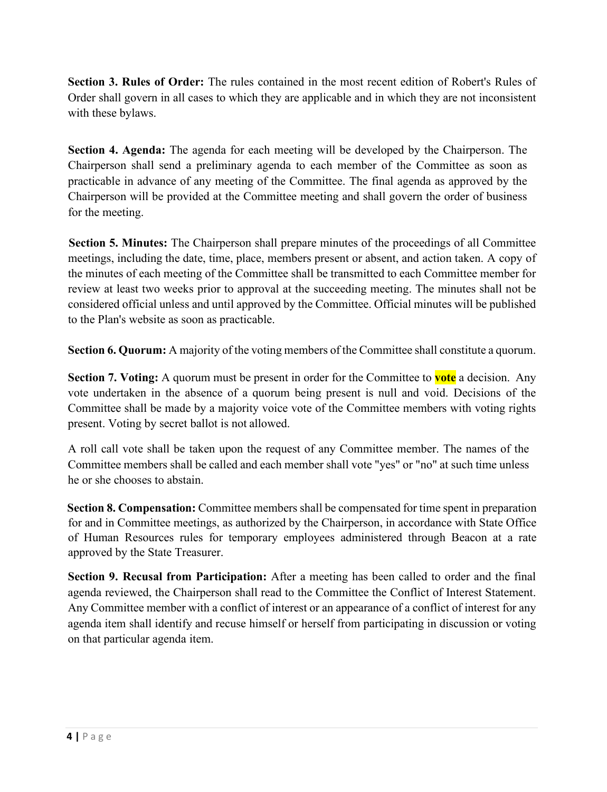**Section 3. Rules of Order:** The rules contained in the most recent edition of Robert's Rules of Order shall govern in all cases to which they are applicable and in which they are not inconsistent with these bylaws.

**Section 4. Agenda:** The agenda for each meeting will be developed by the Chairperson. The Chairperson shall send a preliminary agenda to each member of the Committee as soon as practicable in advance of any meeting of the Committee. The final agenda as approved by the Chairperson will be provided at the Committee meeting and shall govern the order of business for the meeting.

**Section 5. Minutes:** The Chairperson shall prepare minutes of the proceedings of all Committee meetings, including the date, time, place, members present or absent, and action taken. A copy of the minutes of each meeting of the Committee shall be transmitted to each Committee member for review at least two weeks prior to approval at the succeeding meeting. The minutes shall not be considered official unless and until approved by the Committee. Official minutes will be published to the Plan's website as soon as practicable.

**Section 6. Quorum:** A majority of the voting members of the Committee shall constitute a quorum.

**Section 7. Voting:** A quorum must be present in order for the Committee to **vote** a decision. Any vote undertaken in the absence of a quorum being present is null and void. Decisions of the Committee shall be made by a majority voice vote of the Committee members with voting rights present. Voting by secret ballot is not allowed.

A roll call vote shall be taken upon the request of any Committee member. The names of the Committee members shall be called and each member shall vote "yes" or "no" at such time unless he or she chooses to abstain.

**Section 8. Compensation:** Committee members shall be compensated for time spent in preparation for and in Committee meetings, as authorized by the Chairperson, in accordance with State Office of Human Resources rules for temporary employees administered through Beacon at a rate approved by the State Treasurer.

**Section 9. Recusal from Participation:** After a meeting has been called to order and the final agenda reviewed, the Chairperson shall read to the Committee the Conflict of Interest Statement. Any Committee member with a conflict of interest or an appearance of a conflict of interest for any agenda item shall identify and recuse himself or herself from participating in discussion or voting on that particular agenda item.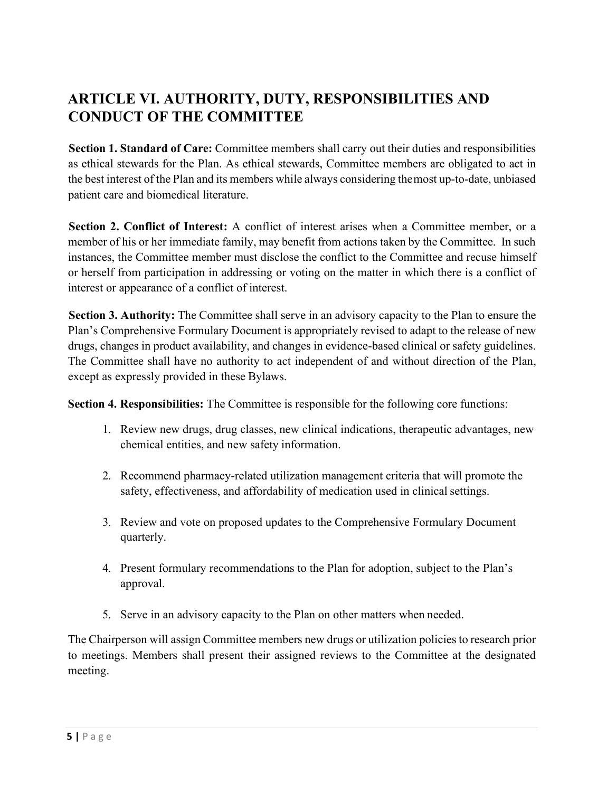# **ARTICLE VI. AUTHORITY, DUTY, RESPONSIBILITIES AND CONDUCT OF THE COMMITTEE**

**Section 1. Standard of Care:** Committee members shall carry out their duties and responsibilities as ethical stewards for the Plan. As ethical stewards, Committee members are obligated to act in the best interest of the Plan and its members while always considering themost up-to-date, unbiased patient care and biomedical literature.

**Section 2. Conflict of Interest:** A conflict of interest arises when a Committee member, or a member of his or her immediate family, may benefit from actions taken by the Committee. In such instances, the Committee member must disclose the conflict to the Committee and recuse himself or herself from participation in addressing or voting on the matter in which there is a conflict of interest or appearance of a conflict of interest.

**Section 3. Authority:** The Committee shall serve in an advisory capacity to the Plan to ensure the Plan's Comprehensive Formulary Document is appropriately revised to adapt to the release of new drugs, changes in product availability, and changes in evidence-based clinical or safety guidelines. The Committee shall have no authority to act independent of and without direction of the Plan, except as expressly provided in these Bylaws.

**Section 4. Responsibilities:** The Committee is responsible for the following core functions:

- 1. Review new drugs, drug classes, new clinical indications, therapeutic advantages, new chemical entities, and new safety information.
- 2. Recommend pharmacy-related utilization management criteria that will promote the safety, effectiveness, and affordability of medication used in clinical settings.
- 3. Review and vote on proposed updates to the Comprehensive Formulary Document quarterly.
- 4. Present formulary recommendations to the Plan for adoption, subject to the Plan's approval.
- 5. Serve in an advisory capacity to the Plan on other matters when needed.

The Chairperson will assign Committee members new drugs or utilization policies to research prior to meetings. Members shall present their assigned reviews to the Committee at the designated meeting.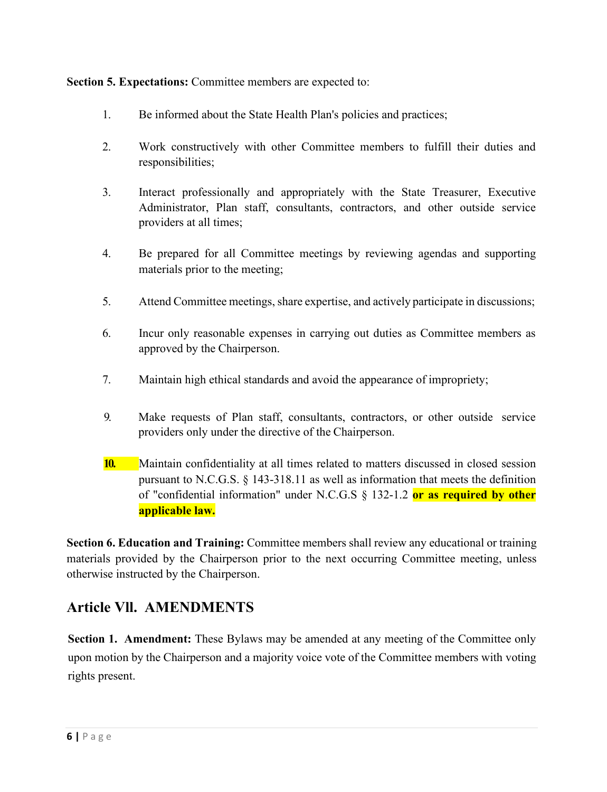**Section 5. Expectations:** Committee members are expected to:

- 1. Be informed about the State Health Plan's policies and practices;
- 2. Work constructively with other Committee members to fulfill their duties and responsibilities;
- 3. Interact professionally and appropriately with the State Treasurer, Executive Administrator, Plan staff, consultants, contractors, and other outside service providers at all times;
- 4. Be prepared for all Committee meetings by reviewing agendas and supporting materials prior to the meeting;
- 5. Attend Committee meetings, share expertise, and actively participate in discussions;
- 6. Incur only reasonable expenses in carrying out duties as Committee members as approved by the Chairperson.
- 7. Maintain high ethical standards and avoid the appearance of impropriety;
- 9. Make requests of Plan staff, consultants, contractors, or other outside service providers only under the directive of the Chairperson.
- **10.** Maintain confidentiality at all times related to matters discussed in closed session pursuant to N.C.G.S. § 143-318.11 as well as information that meets the definition of "confidential information" under N.C.G.S § 132-1.2 **or as required by other applicable law.**

**Section 6. Education and Training:** Committee members shall review any educational or training materials provided by the Chairperson prior to the next occurring Committee meeting, unless otherwise instructed by the Chairperson.

# **Article Vll. AMENDMENTS**

**Section 1. Amendment:** These Bylaws may be amended at any meeting of the Committee only upon motion by the Chairperson and a majority voice vote of the Committee members with voting rights present.